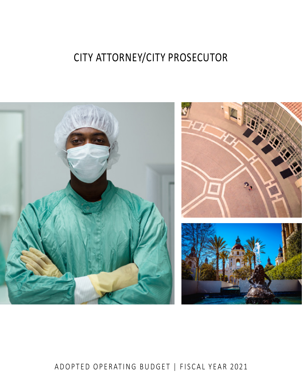# CITY ATTORNEY/CITY PROSECUTOR



# ADOPTED OPERATING BUDGET | FISCAL YEAR 2021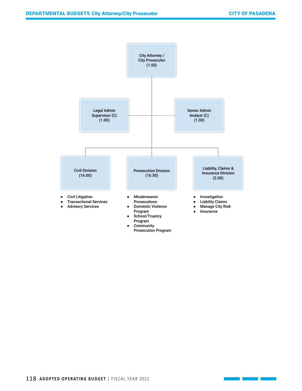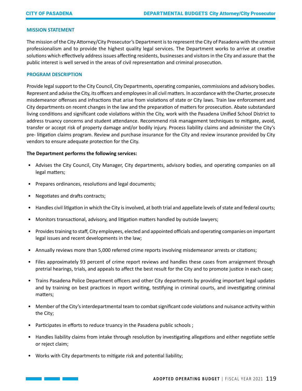# **MISSION STATEMENT**

The mission of the City Attorney/City Prosecutor's Department is to represent the City of Pasadena with the utmost professionalism and to provide the highest quality legal services. The Department works to arrive at creative solutions which effectively address issues affecting residents, businesses and visitors in the City and assure that the public interest is well served in the areas of civil representation and criminal prosecution.

### **PROGRAM DESCRIPTION**

Provide legal support to the City Council, City Departments, operating companies, commissions and advisory bodies. Represent and advise the City, its officers and employees in all civil matters. In accordance with the Charter, prosecute misdemeanor offenses and infractions that arise from violations of state or City laws. Train law enforcement and City departments on recent changes in the law and the preparation of matters for prosecution. Abate substandard living conditions and significant code violations within the City, work with the Pasadena Unified School District to address truancy concerns and student attendance. Recommend risk management techniques to mitigate, avoid, transfer or accept risk of property damage and/or bodily injury. Process liability claims and administer the City's pre- litigation claims program. Review and purchase insurance for the City and review insurance provided by City vendors to ensure adequate protection for the City.

#### **The Department performs the following services:**

- Advises the City Council, City Manager, City departments, advisory bodies, and operating companies on all legal matters;
- Prepares ordinances, resolutions and legal documents;
- Negotiates and drafts contracts;
- Handles civil litigation in which the City is involved, at both trial and appellate levels of state and federal courts;
- Monitors transactional, advisory, and litigation matters handled by outside lawyers;
- Provides training to staff, City employees, elected and appointed officials and operating companies on important legal issues and recent developments in the law;
- Annually reviews more than 5,000 referred crime reports involving misdemeanor arrests or citations;
- Files approximately 93 percent of crime report reviews and handles these cases from arraignment through pretrial hearings, trials, and appeals to affect the best result for the City and to promote justice in each case;
- Trains Pasadena Police Department officers and other City departments by providing important legal updates and by training on best practices in report writing, testifying in criminal courts, and investigating criminal matters;
- Member of the City's interdepartmental team to combat significant code violations and nuisance activity within the City;
- Participates in efforts to reduce truancy in the Pasadena public schools ;
- Handles liability claims from intake through resolution by investigating allegations and either negotiate settle or reject claim;
- Works with City departments to mitigate risk and potential liability;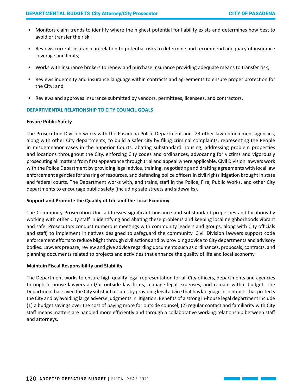- Monitors claim trends to identify where the highest potential for liability exists and determines how best to avoid or transfer the risk;
- Reviews current insurance in relation to potential risks to determine and recommend adequacy of insurance coverage and limits;
- Works with insurance brokers to renew and purchase insurance providing adequate means to transfer risk;
- Reviews indemnity and insurance language within contracts and agreements to ensure proper protection for the City; and
- Reviews and approves insurance submitted by vendors, permittees, licensees, and contractors.

# **DEPARTMENTAL RELATIONSHIP TO CITY COUNCIL GOALS**

# **Ensure Public Safety**

The Prosecution Division works with the Pasadena Police Department and 23 other law enforcement agencies, along with other City departments, to build a safer city by filing criminal complaints, representing the People in misdemeanor cases in the Superior Courts, abating substandard housing, addressing problem properties and locations throughout the City, enforcing City codes and ordinances, advocating for victims and vigorously prosecuting all matters from first appearance through trial and appeal where applicable. Civil Division lawyers work with the Police Department by providing legal advice, training, negotiating and drafting agreements with local law enforcement agencies for sharing of resources, and defending police officers in civil rights litigation brought in state and federal courts. The Department works with, and trains, staff in the Police, Fire, Public Works, and other City departments to encourage public safety (including safe streets and sidewalks).

# **Support and Promote the Quality of Life and the Local Economy**

The Community Prosecution Unit addresses significant nuisance and substandard properties and locations by working with other City staff in identifying and abating these problems and keeping local neighborhoods vibrant and safe. Prosecutors conduct numerous meetings with community leaders and groups, along with City officials and staff, to implement initiatives designed to safeguard the community. Civil Division lawyers support code enforcement efforts to reduce blight through civil actions and by providing advice to City departments and advisory bodies. Lawyers prepare, review and give advice regarding documents such as ordinances, proposals, contracts, and planning documents related to projects and activities that enhance the quality of life and local economy.

# **Maintain Fiscal Responsibility and Stability**

The Department works to ensure high quality legal representation for all City officers, departments and agencies through in-house lawyers and/or outside law firms, manage legal expenses, and remain within budget. The Department has saved the City substantial sums by providing legal advice that has language in contracts that protects the City and by avoiding large adverse judgments in litigation. Benefits of a strong in-house legal department include (1) a budget savings over the cost of paying more for outside counsel; (2) regular contact and familiarity with City staff means matters are handled more efficiently and through a collaborative working relationship between staff and attorneys.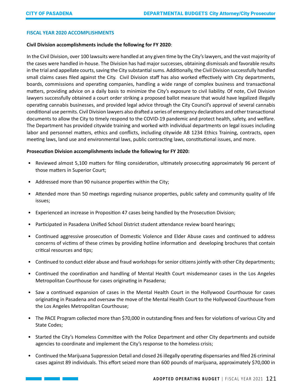and the state of the state of the

# **FISCAL YEAR 2020 ACCOMPLISHMENTS**

#### **Civil Division accomplishments include the following for FY 2020**:

In the Civil Division, over 100 lawsuits were handled at any given time by the City's lawyers, and the vast majority of the cases were handled in-house. The Division has had major successes, obtaining dismissals and favorable results in the trial and appellate courts, saving the City substantial sums. Additionally, the Civil Division successfully handled small claims cases filed against the City. Civil Division staff has also worked effectively with City departments, boards, commissions and operating companies, handling a wide range of complex business and transactional matters, providing advice on a daily basis to minimize the City's exposure to civil liability. Of note, Civil Division lawyers successfully obtained a court order striking a proposed ballot measure that would have legalized illegally operating cannabis businesses, and provided legal advice through the City Council's approval of several cannabis conditional use permits. Civil Division lawyers also drafted a series of emergency declarations and other transactional documents to allow the City to timely respond to the COVID-19 pandemic and protect health, safety, and welfare. The Department has provided citywide training and worked with individual departments on legal issues including labor and personnel matters, ethics and conflicts, including citywide AB 1234 Ethics Training, contracts, open meeting laws, land use and environmental laws, public contracting laws, constitutional issues, and more.

# **Prosecution Division accomplishments include the following for FY 2020:**

- Reviewed almost 5,100 matters for filing consideration, ultimately prosecuting approximately 96 percent of those matters in Superior Court;
- Addressed more than 90 nuisance properties within the City;
- Attended more than 50 meetings regarding nuisance properties, public safety and community quality of life issues;
- Experienced an increase in Proposition 47 cases being handled by the Prosecution Division;
- Participated in Pasadena Unified School District student attendance review board hearings;
- Continued aggressive prosecution of Domestic Violence and Elder Abuse cases and continued to address concerns of victims of these crimes by providing hotline information and developing brochures that contain critical resources and tips;
- Continued to conduct elder abuse and fraud workshops for senior citizens jointly with other City departments;
- Continued the coordination and handling of Mental Health Court misdemeanor cases in the Los Angeles Metropolitan Courthouse for cases originating in Pasadena;
- Saw a continued expansion of cases in the Mental Health Court in the Hollywood Courthouse for cases originating in Pasadena and oversaw the move of the Mental Health Court to the Hollywood Courthouse from the Los Angeles Metropolitan Courthouse;
- The PACE Program collected more than \$70,000 in outstanding fines and fees for violations of various City and State Codes;
- Started the City's Homeless Committee with the Police Department and other City departments and outside agencies to coordinate and implement the City's response to the homeless crisis;
- Continued the Marijuana Suppression Detail and closed 26 illegally operating dispensaries and filed 26 criminal cases against 89 individuals. This effort seized more than 600 pounds of marijuana, approximately \$70,000 in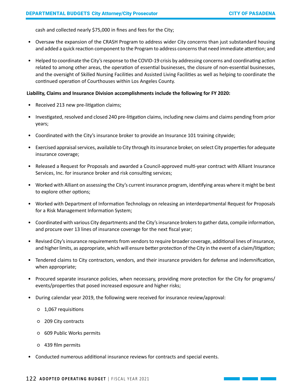cash and collected nearly \$75,000 in fines and fees for the City;

- Oversaw the expansion of the CRASH Program to address wider City concerns than just substandard housing and added a quick reaction component to the Program to address concerns that need immediate attention; and
- Helped to coordinate the City's response to the COVID-19 crisis by addressing concerns and coordinating action related to among other areas, the operation of essential businesses, the closure of non-essential businesses, and the oversight of Skilled Nursing Facilities and Assisted Living Facilities as well as helping to coordinate the continued operation of Courthouses within Los Angeles County.

### **Liability, Claims and Insurance Division accomplishments include the following for FY 2020:**

- Received 213 new pre-litigation claims;
- Investigated, resolved and closed 240 pre-litigation claims, including new claims and claims pending from prior years;
- Coordinated with the City's insurance broker to provide an Insurance 101 training citywide;
- Exercised appraisal services, available to City through its insurance broker, on select City properties for adequate insurance coverage;
- Released a Request for Proposals and awarded a Council-approved multi-year contract with Alliant Insurance Services, Inc. for insurance broker and risk consulting services;
- Worked with Alliant on assessing the City's current insurance program, identifying areas where it might be best to explore other options;
- Worked with Department of Information Technology on releasing an interdepartmental Request for Proposals for a Risk Management Information System;
- Coordinated with various City departments and the City's insurance brokers to gather data, compile information, and procure over 13 lines of insurance coverage for the next fiscal year;
- Revised City's insurance requirements from vendors to require broader coverage, additional lines of insurance, and higher limits, as appropriate, which will ensure better protection of the City in the event of a claim/litigation;
- Tendered claims to City contractors, vendors, and their insurance providers for defense and indemnification, when appropriate;
- Procured separate insurance policies, when necessary, providing more protection for the City for programs/ events/properties that posed increased exposure and higher risks;
- During calendar year 2019, the following were received for insurance review/approval:
	- 1,067 requisitions
	- 209 City contracts
	- 609 Public Works permits
	- 439 film permits
- Conducted numerous additional insurance reviews for contracts and special events.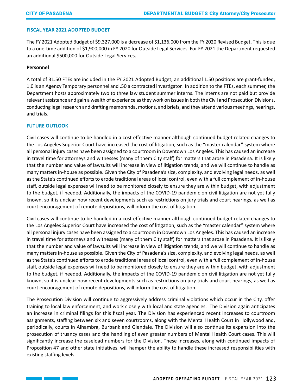# **FISCAL YEAR 2021 ADOPTED BUDGET**

The FY 2021 Adopted Budget of \$9,327,000 is a decrease of \$1,136,000 from the FY 2020 Revised Budget. This is due to a one-time addition of \$1,900,000 in FY 2020 for Outside Legal Services. For FY 2021 the Department requested an additional \$500,000 for Outside Legal Services.

#### **Personnel**

A total of 31.50 FTEs are included in the FY 2021 Adopted Budget, an additional 1.50 positions are grant-funded, 1.0 is an Agency Temporary personnel and .50 a contracted investigator. In addition to the FTEs, each summer, the Department hosts approximately two to three law student summer interns. The interns are not paid but provide relevant assistance and gain a wealth of experience as they work on issues in both the Civil and Prosecution Divisions, conducting legal research and drafting memoranda, motions, and briefs, and they attend various meetings, hearings, and trials.

#### **FUTURE OUTLOOK**

Civil cases will continue to be handled in a cost effective manner although continued budget-related changes to the Los Angeles Superior Court have increased the cost of litigation, such as the "master calendar" system where all personal injury cases have been assigned to a courtroom in Downtown Los Angeles. This has caused an increase in travel time for attorneys and witnesses (many of them City staff) for matters that arose in Pasadena. It is likely that the number and value of lawsuits will increase in view of litigation trends, and we will continue to handle as many matters in-house as possible. Given the City of Pasadena's size, complexity, and evolving legal needs, as well as the State's continued efforts to erode traditional areas of local control, even with a full complement of in-house staff, outside legal expenses will need to be monitored closely to ensure they are within budget, with adjustment to the budget, if needed. Additionally, the impacts of the COVID-19 pandemic on civil litigation are not yet fully known, so it is unclear how recent developments such as restrictions on jury trials and court hearings, as well as court encouragement of remote depositions, will inform the cost of litigation.

Civil cases will continue to be handled in a cost effective manner although continued budget-related changes to the Los Angeles Superior Court have increased the cost of litigation, such as the "master calendar" system where all personal injury cases have been assigned to a courtroom in Downtown Los Angeles. This has caused an increase in travel time for attorneys and witnesses (many of them City staff) for matters that arose in Pasadena. It is likely that the number and value of lawsuits will increase in view of litigation trends, and we will continue to handle as many matters in-house as possible. Given the City of Pasadena's size, complexity, and evolving legal needs, as well as the State's continued efforts to erode traditional areas of local control, even with a full complement of in-house staff, outside legal expenses will need to be monitored closely to ensure they are within budget, with adjustment to the budget, if needed. Additionally, the impacts of the COVID-19 pandemic on civil litigation are not yet fully known, so it is unclear how recent developments such as restrictions on jury trials and court hearings, as well as court encouragement of remote depositions, will inform the cost of litigation.

The Prosecution Division will continue to aggressively address criminal violations which occur in the City, offer training to local law enforcement, and work closely with local and state agencies. The Division again anticipates an increase in criminal filings for this fiscal year. The Division has experienced recent increases to courtroom assignments, staffing between six and seven courtrooms, along with the Mental Health Court in Hollywood and, periodically, courts in Alhambra, Burbank and Glendale. The Division will also continue its expansion into the prosecution of truancy cases and the handling of even greater numbers of Mental Health Court cases. This will significantly increase the caseload numbers for the Division. These increases, along with continued impacts of Proposition 47 and other state initiatives, will hamper the ability to handle these increased responsibilities with existing staffing levels.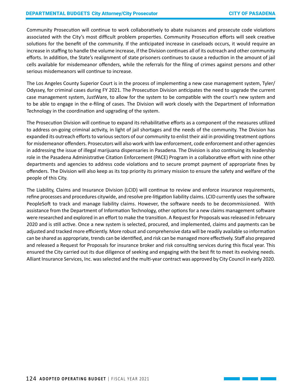Community Prosecution will continue to work collaboratively to abate nuisances and prosecute code violations associated with the City's most difficult problem properties. Community Prosecution efforts will seek creative solutions for the benefit of the community. If the anticipated increase in caseloads occurs, it would require an increase in staffing to handle the volume increase, if the Division continues all of its outreach and other community efforts. In addition, the State's realignment of state prisoners continues to cause a reduction in the amount of jail cells available for misdemeanor offenders, while the referrals for the filing of crimes against persons and other serious misdemeanors will continue to increase.

The Los Angeles County Superior Court is in the process of implementing a new case management system, Tyler/ Odyssey, for criminal cases during FY 2021. The Prosecution Division anticipates the need to upgrade the current case management system, JustWare, to allow for the system to be compatible with the court's new system and to be able to engage in the e-filing of cases. The Division will work closely with the Department of Information Technology in the coordination and upgrading of the system.

The Prosecution Division will continue to expand its rehabilitative efforts as a component of the measures utilized to address on-going criminal activity, in light of jail shortages and the needs of the community. The Division has expanded its outreach efforts to various sectors of our community to enlist their aid in providing treatment options for misdemeanor offenders. Prosecutors will also work with law enforcement, code enforcement and other agencies in addressing the issue of illegal marijuana dispensaries in Pasadena. The Division is also continuing its leadership role in the Pasadena Administrative Citation Enforcement (PACE) Program in a collaborative effort with nine other departments and agencies to address code violations and to secure prompt payment of appropriate fines by offenders. The Division will also keep as its top priority its primary mission to ensure the safety and welfare of the people of this City.

The Liability, Claims and Insurance Division (LCID) will continue to review and enforce insurance requirements, refine processes and procedures citywide, and resolve pre-litigation liability claims. LCID currently uses the software PeopleSoft to track and manage liability claims. However, the software needs to be decommissioned. With assistance from the Department of Information Technology, other options for a new claims management software were researched and explored in an effort to make the transition. A Request for Proposals was released in February 2020 and is still active. Once a new system is selected, procured, and implemented, claims and payments can be adjusted and tracked more efficiently. More robust and comprehensive data will be readily available so information can be shared as appropriate, trends can be identified, and risk can be managed more effectively. Staff also prepared and released a Request for Proposals for insurance broker and risk consulting services during this fiscal year. This ensured the City carried out its due diligence of seeking and engaging with the best fit to meet its evolving needs. Alliant Insurance Services, Inc. was selected and the multi-year contract was approved by City Council in early 2020.